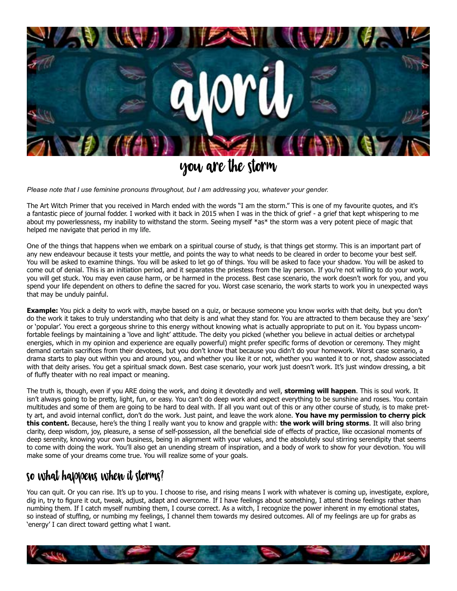

# You Are The Storm

*Please note that I use feminine pronouns throughout, but I am addressing you, whatever your gender.* 

The Art Witch Primer that you received in March ended with the words "I am the storm." This is one of my favourite quotes, and it's a fantastic piece of journal fodder. I worked with it back in 2015 when I was in the thick of grief - a grief that kept whispering to me about my powerlessness, my inability to withstand the storm. Seeing myself \*as\* the storm was a very potent piece of magic that helped me navigate that period in my life.

One of the things that happens when we embark on a spiritual course of study, is that things get stormy. This is an important part of any new endeavour because it tests your mettle, and points the way to what needs to be cleared in order to become your best self. You will be asked to examine things. You will be asked to let go of things. You will be asked to face your shadow. You will be asked to come out of denial. This is an initiation period, and it separates the priestess from the lay person. If you're not willing to do your work, you will get stuck. You may even cause harm, or be harmed in the process. Best case scenario, the work doesn't work for you, and you spend your life dependent on others to define the sacred for you. Worst case scenario, the work starts to work you in unexpected ways that may be unduly painful.

**Example:** You pick a deity to work with, maybe based on a quiz, or because someone you know works with that deity, but you don't do the work it takes to truly understanding who that deity is and what they stand for. You are attracted to them because they are 'sexy' or 'popular'. You erect a gorgeous shrine to this energy without knowing what is actually appropriate to put on it. You bypass uncomfortable feelings by maintaining a 'love and light' attitude. The deity you picked (whether you believe in actual deities or archetypal energies, which in my opinion and experience are equally powerful) might prefer specific forms of devotion or ceremony. They might demand certain sacrifices from their devotees, but you don't know that because you didn't do your homework. Worst case scenario, a drama starts to play out within you and around you, and whether you like it or not, whether you wanted it to or not, shadow associated with that deity arises. You get a spiritual smack down. Best case scenario, your work just doesn't work. It's just window dressing, a bit of fluffy theater with no real impact or meaning.

The truth is, though, even if you ARE doing the work, and doing it devotedly and well, **storming will happen**. This is soul work. It isn't always going to be pretty, light, fun, or easy. You can't do deep work and expect everything to be sunshine and roses. You contain multitudes and some of them are going to be hard to deal with. If all you want out of this or any other course of study, is to make pretty art, and avoid internal conflict, don't do the work. Just paint, and leave the work alone. **You have my permission to cherry pick this content.** Because, here's the thing I really want you to know and grapple with: **the work will bring storms**. It will also bring clarity, deep wisdom, joy, pleasure, a sense of self-possession, all the beneficial side of effects of practice, like occasional moments of deep serenity, knowing your own business, being in alignment with your values, and the absolutely soul stirring serendipity that seems to come with doing the work. You'll also get an unending stream of inspiration, and a body of work to show for your devotion. You will make some of your dreams come true. You will realize some of your goals.

## So what happens when it storms?

You can quit. Or you can rise. It's up to you. I choose to rise, and rising means I work with whatever is coming up, investigate, explore, dig in, try to figure it out, tweak, adjust, adapt and overcome. If I have feelings about something, I attend those feelings rather than numbing them. If I catch myself numbing them, I course correct. As a witch, I recognize the power inherent in my emotional states, so instead of stuffing, or numbing my feelings, I channel them towards my desired outcomes. All of my feelings are up for grabs as 'energy' I can direct toward getting what I want.

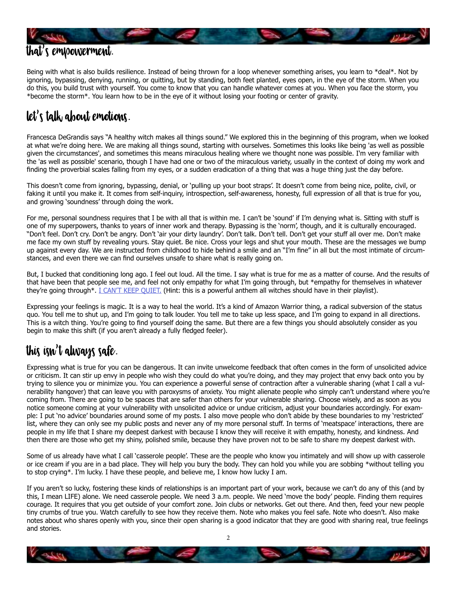

Being with what is also builds resilience. Instead of being thrown for a loop whenever something arises, you learn to \*deal\*. Not by ignoring, bypassing, denying, running, or quitting, but by standing, both feet planted, eyes open, in the eye of the storm. When you do this, you build trust with yourself. You come to know that you can handle whatever comes at you. When you face the storm, you \*become the storm\*. You learn how to be in the eye of it without losing your footing or center of gravity.

# Let's Talk About Emotions.

Francesca DeGrandis says "A healthy witch makes all things sound." We explored this in the beginning of this program, when we looked at what we're doing here. We are making all things sound, starting with ourselves. Sometimes this looks like being 'as well as possible given the circumstances', and sometimes this means miraculous healing where we thought none was possible. I'm very familiar with the 'as well as possible' scenario, though I have had one or two of the miraculous variety, usually in the context of doing my work and finding the proverbial scales falling from my eyes, or a sudden eradication of a thing that was a huge thing just the day before.

This doesn't come from ignoring, bypassing, denial, or 'pulling up your boot straps'. It doesn't come from being nice, polite, civil, or faking it until you make it. It comes from self-inquiry, introspection, self-awareness, honesty, full expression of all that is true for you, and growing 'soundness' through doing the work.

For me, personal soundness requires that I be with all that is within me. I can't be 'sound' if I'm denying what is. Sitting with stuff is one of my superpowers, thanks to years of inner work and therapy. Bypassing is the 'norm', though, and it is culturally encouraged. "Don't feel. Don't cry. Don't be angry. Don't 'air your dirty laundry'. Don't talk. Don't tell. Don't get your stuff all over me. Don't make me face my own stuff by revealing yours. Stay quiet. Be nice. Cross your legs and shut your mouth. These are the messages we bump up against every day. We are instructed from childhood to hide behind a smile and an "I'm fine" in all but the most intimate of circumstances, and even there we can find ourselves unsafe to share what is really going on.

But, I bucked that conditioning long ago. I feel out loud. All the time. I say what is true for me as a matter of course. And the results of that have been that people see me, and feel not only empathy for what I'm going through, but \*empathy for themselves in whatever they're going through\*. [I CAN'T KEEP QUIET.](https://www.youtube.com/watch?v=2tF5OklolsQ) (Hint: this is a powerful anthem all witches should have in their playlist).

Expressing your feelings is magic. It is a way to heal the world. It's a kind of Amazon Warrior thing, a radical subversion of the status quo. You tell me to shut up, and I'm going to talk louder. You tell me to take up less space, and I'm going to expand in all directions. This is a witch thing. You're going to find yourself doing the same. But there are a few things you should absolutely consider as you begin to make this shift (if you aren't already a fully fledged feeler).

## This isn't always safe.

Expressing what is true for you can be dangerous. It can invite unwelcome feedback that often comes in the form of unsolicited advice or criticism. It can stir up envy in people who wish they could do what you're doing, and they may project that envy back onto you by trying to silence you or minimize you. You can experience a powerful sense of contraction after a vulnerable sharing (what I call a vulnerability hangover) that can leave you with paroxysms of anxiety. You might alienate people who simply can't understand where you're coming from. There are going to be spaces that are safer than others for your vulnerable sharing. Choose wisely, and as soon as you notice someone coming at your vulnerability with unsolicited advice or undue criticism, adjust your boundaries accordingly. For example: I put 'no advice' boundaries around some of my posts. I also move people who don't abide by these boundaries to my 'restricted' list, where they can only see my public posts and never any of my more personal stuff. In terms of 'meatspace' interactions, there are people in my life that I share my deepest darkest with because I know they will receive it with empathy, honesty, and kindness. And then there are those who get my shiny, polished smile, because they have proven not to be safe to share my deepest darkest with.

Some of us already have what I call 'casserole people'. These are the people who know you intimately and will show up with casserole or ice cream if you are in a bad place. They will help you bury the body. They can hold you while you are sobbing \*without telling you to stop crying\*. I'm lucky. I have these people, and believe me, I know how lucky I am.

If you aren't so lucky, fostering these kinds of relationships is an important part of your work, because we can't do any of this (and by this, I mean LIFE) alone. We need casserole people. We need 3 a.m. people. We need 'move the body' people. Finding them requires courage. It requires that you get outside of your comfort zone. Join clubs or networks. Get out there. And then, feed your new people tiny crumbs of true you. Watch carefully to see how they receive them. Note who makes you feel safe. Note who doesn't. Also make notes about who shares openly with you, since their open sharing is a good indicator that they are good with sharing real, true feelings and stories.

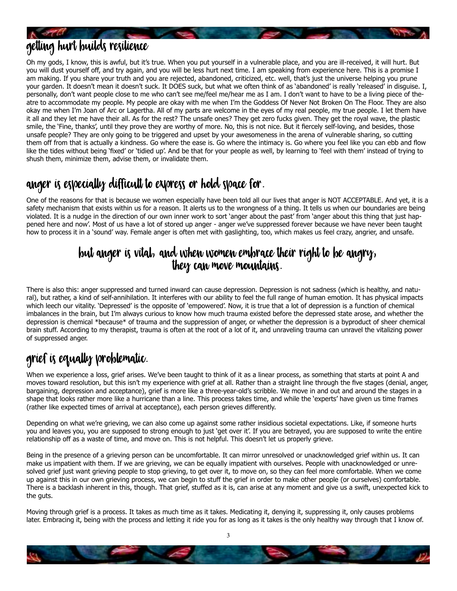

Oh my gods, I know, this is awful, but it's true. When you put yourself in a vulnerable place, and you are ill-received, it will hurt. But you will dust yourself off, and try again, and you will be less hurt next time. I am speaking from experience here. This is a promise I am making. If you share your truth and you are rejected, abandoned, criticized, etc. well, that's just the universe helping you prune your garden. It doesn't mean it doesn't suck. It DOES suck, but what we often think of as 'abandoned' is really 'released' in disguise. I, personally, don't want people close to me who can't see me/feel me/hear me as I am. I don't want to have to be a living piece of theatre to accommodate my people. My people are okay with me when I'm the Goddess Of Never Not Broken On The Floor. They are also okay me when I'm Joan of Arc or Lagertha. All of my parts are welcome in the eyes of my real people, my true people. I let them have it all and they let me have their all. As for the rest? The unsafe ones? They get zero fucks given. They get the royal wave, the plastic smile, the 'Fine, thanks', until they prove they are worthy of more. No, this is not nice. But it fiercely self-loving, and besides, those unsafe people? They are only going to be triggered and upset by your awesomeness in the arena of vulnerable sharing, so cutting them off from that is actually a kindness. Go where the ease is. Go where the intimacy is. Go where you feel like you can ebb and flow like the tides without being 'fixed' or 'tidied up'. And be that for your people as well, by learning to 'feel with them' instead of trying to shush them, minimize them, advise them, or invalidate them.

## Anger is especially difficult to express or hold space for.

One of the reasons for that is because we women especially have been told all our lives that anger is NOT ACCEPTABLE. And yet, it is a safety mechanism that exists within us for a reason. It alerts us to the wrongness of a thing. It tells us when our boundaries are being violated. It is a nudge in the direction of our own inner work to sort 'anger about the past' from 'anger about this thing that just happened here and now'. Most of us have a lot of stored up anger - anger we've suppressed forever because we have never been taught how to process it in a 'sound' way. Female anger is often met with gaslighting, too, which makes us feel crazy, angrier, and unsafe.

#### But anger is vital, and when women embrace their right to be angry, they can move mountains.

There is also this: anger suppressed and turned inward can cause depression. Depression is not sadness (which is healthy, and natural), but rather, a kind of self-annihilation. It interferes with our ability to feel the full range of human emotion. It has physical impacts which leech our vitality. 'Depressed' is the opposite of 'empowered'. Now, it is true that a lot of depression is a function of chemical imbalances in the brain, but I'm always curious to know how much trauma existed before the depressed state arose, and whether the depression is chemical \*because\* of trauma and the suppression of anger, or whether the depression is a byproduct of sheer chemical brain stuff. According to my therapist, trauma is often at the root of a lot of it, and unraveling trauma can unravel the vitalizing power of suppressed anger.

## Grief is equally problematic.

When we experience a loss, grief arises. We've been taught to think of it as a linear process, as something that starts at point A and moves toward resolution, but this isn't my experience with grief at all. Rather than a straight line through the five stages (denial, anger, bargaining, depression and acceptance), grief is more like a three-year-old's scribble. We move in and out and around the stages in a shape that looks rather more like a hurricane than a line. This process takes time, and while the 'experts' have given us time frames (rather like expected times of arrival at acceptance), each person grieves differently.

Depending on what we're grieving, we can also come up against some rather insidious societal expectations. Like, if someone hurts you and leaves you, you are supposed to strong enough to just 'get over it'. If you are betrayed, you are supposed to write the entire relationship off as a waste of time, and move on. This is not helpful. This doesn't let us properly grieve.

Being in the presence of a grieving person can be uncomfortable. It can mirror unresolved or unacknowledged grief within us. It can make us impatient with them. If we are grieving, we can be equally impatient with ourselves. People with unacknowledged or unresolved grief just want grieving people to stop grieving, to get over it, to move on, so they can feel more comfortable. When we come up against this in our own grieving process, we can begin to stuff the grief in order to make other people (or ourselves) comfortable. There is a backlash inherent in this, though. That grief, stuffed as it is, can arise at any moment and give us a swift, unexpected kick to the guts.

Moving through grief is a process. It takes as much time as it takes. Medicating it, denying it, suppressing it, only causes problems later. Embracing it, being with the process and letting it ride you for as long as it takes is the only healthy way through that I know of.

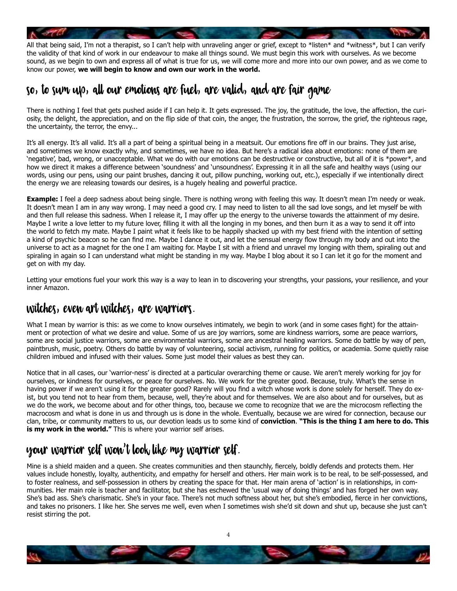

the validity of that kind of work in our endeavour to make all things sound. We must begin this work with ourselves. As we become sound, as we begin to own and express all of what is true for us, we will come more and more into our own power, and as we come to know our power, **we will begin to know and own our work in the world.**

## So, to sum up, all our Emotions Are fuel, are valid, and are Fair Game

There is nothing I feel that gets pushed aside if I can help it. It gets expressed. The joy, the gratitude, the love, the affection, the curiosity, the delight, the appreciation, and on the flip side of that coin, the anger, the frustration, the sorrow, the grief, the righteous rage, the uncertainty, the terror, the envy...

It's all energy. It's all valid. It's all a part of being a spiritual being in a meatsuit. Our emotions fire off in our brains. They just arise, and sometimes we know exactly why, and sometimes, we have no idea. But here's a radical idea about emotions: none of them are 'negative', bad, wrong, or unacceptable. What we do with our emotions can be destructive or constructive, but all of it is \*power\*, and how we direct it makes a difference between 'soundness' and 'unsoundness'. Expressing it in all the safe and healthy ways (using our words, using our pens, using our paint brushes, dancing it out, pillow punching, working out, etc.), especially if we intentionally direct the energy we are releasing towards our desires, is a hugely healing and powerful practice.

**Example:** I feel a deep sadness about being single. There is nothing wrong with feeling this way. It doesn't mean I'm needy or weak. It doesn't mean I am in any way wrong. I may need a good cry. I may need to listen to all the sad love songs, and let myself be with and then full release this sadness. When I release it, I may offer up the energy to the universe towards the attainment of my desire. Maybe I write a love letter to my future lover, filling it with all the longing in my bones, and then burn it as a way to send it off into the world to fetch my mate. Maybe I paint what it feels like to be happily shacked up with my best friend with the intention of setting a kind of psychic beacon so he can find me. Maybe I dance it out, and let the sensual energy flow through my body and out into the universe to act as a magnet for the one I am waiting for. Maybe I sit with a friend and unravel my longing with them, spiraling out and spiraling in again so I can understand what might be standing in my way. Maybe I blog about it so I can let it go for the moment and get on with my day.

Letting your emotions fuel your work this way is a way to lean in to discovering your strengths, your passions, your resilience, and your inner Amazon.

#### Witches, Even Art Witches, Are Warriors.

What I mean by warrior is this: as we come to know ourselves intimately, we begin to work (and in some cases fight) for the attainment or protection of what we desire and value. Some of us are joy warriors, some are kindness warriors, some are peace warriors, some are social justice warriors, some are environmental warriors, some are ancestral healing warriors. Some do battle by way of pen, paintbrush, music, poetry. Others do battle by way of volunteering, social activism, running for politics, or academia. Some quietly raise children imbued and infused with their values. Some just model their values as best they can.

Notice that in all cases, our 'warrior-ness' is directed at a particular overarching theme or cause. We aren't merely working for joy for ourselves, or kindness for ourselves, or peace for ourselves. No. We work for the greater good. Because, truly. What's the sense in having power if we aren't using it for the greater good? Rarely will you find a witch whose work is done solely for herself. They do exist, but you tend not to hear from them, because, well, they're about and for themselves. We are also about and for ourselves, but as we do the work, we become about and for other things, too, because we come to recognize that we are the microcosm reflecting the macrocosm and what is done in us and through us is done in the whole. Eventually, because we are wired for connection, because our clan, tribe, or community matters to us, our devotion leads us to some kind of **conviction**. **"This is the thing I am here to do. This is my work in the world."** This is where your warrior self arises.

## Your warrior self won't look like my warrior self.

Mine is a shield maiden and a queen. She creates communities and then staunchly, fiercely, boldly defends and protects them. Her values include honestly, loyalty, authenticity, and empathy for herself and others. Her main work is to be real, to be self-possessed, and to foster realness, and self-possession in others by creating the space for that. Her main arena of 'action' is in relationships, in communities. Her main role is teacher and facilitator, but she has eschewed the 'usual way of doing things' and has forged her own way. She's bad ass. She's charismatic. She's in your face. There's not much softness about her, but she's embodied, fierce in her convictions, and takes no prisoners. I like her. She serves me well, even when I sometimes wish she'd sit down and shut up, because she just can't resist stirring the pot.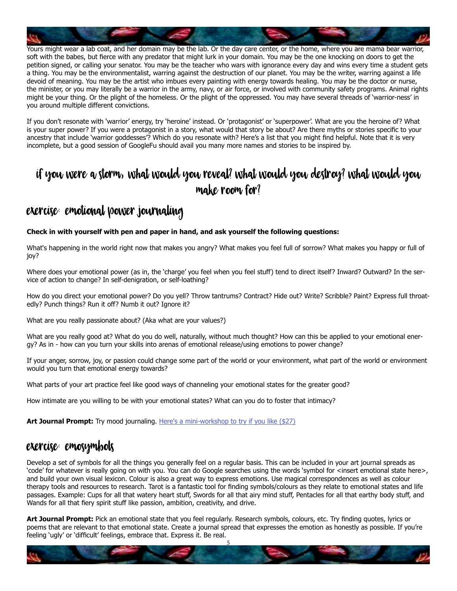

Yours might wear a lab coat, and her domain may be the lab. Or the day care center, or the home, where you are mama bear warrior, soft with the babes, but fierce with any predator that might lurk in your domain. You may be the one knocking on doors to get the petition signed, or calling your senator. You may be the teacher who wars with ignorance every day and wins every time a student gets a thing. You may be the environmentalist, warring against the destruction of our planet. You may be the writer, warring against a life devoid of meaning. You may be the artist who imbues every painting with energy towards healing. You may be the doctor or nurse, the minister, or you may literally be a warrior in the army, navy, or air force, or involved with community safety programs. Animal rights might be your thing. Or the plight of the homeless. Or the plight of the oppressed. You may have several threads of 'warrior-ness' in you around multiple different convictions.

If you don't resonate with 'warrior' energy, try 'heroine' instead. Or 'protagonist' or 'superpower'. What are you the heroine of? What is your super power? If you were a protagonist in a story, what would that story be about? Are there myths or stories specific to your ancestry that include 'warrior goddesses'? Which do you resonate with? Here's a list that you might find helpful. Note that it is very incomplete, but a good session of GoogleFu should avail you many more names and stories to be inspired by.

## If you were a storm, what would you reveal? What would you destroy? What would you make room for?

#### Exercise: Emotional power journaling

#### **Check in with yourself with pen and paper in hand, and ask yourself the following questions:**

What's happening in the world right now that makes you angry? What makes you feel full of sorrow? What makes you happy or full of joy?

Where does your emotional power (as in, the 'charge' you feel when you feel stuff) tend to direct itself? Inward? Outward? In the service of action to change? In self-denigration, or self-loathing?

How do you direct your emotional power? Do you yell? Throw tantrums? Contract? Hide out? Write? Scribble? Paint? Express full throatedly? Punch things? Run it off? Numb it out? Ignore it?

What are you really passionate about? (Aka what are your values?)

What are you really good at? What do you do well, naturally, without much thought? How can this be applied to your emotional energy? As in - how can you turn your skills into arenas of emotional release/using emotions to power change?

If your anger, sorrow, joy, or passion could change some part of the world or your environment, what part of the world or environment would you turn that emotional energy towards?

What parts of your art practice feel like good ways of channeling your emotional states for the greater good?

How intimate are you willing to be with your emotional states? What can you do to foster that intimacy?

**Art Journal Prompt:** Try mood journaling. [Here's a mini-workshop to try if you like \(\\$27\)](http://learn.effybird.com/product/mood-journaling-mini-workshop/)

#### [E](http://learn.effybird.com/product/mood-journaling-mini-workshop/)xercise: EmoSymbols

Develop a set of symbols for all the things you generally feel on a regular basis. This can be included in your art journal spreads as 'code' for whatever is really going on with you. You can do Google searches using the words 'symbol for <insert emotional state here>, and build your own visual lexicon. Colour is also a great way to express emotions. Use magical correspondences as well as colour therapy tools and resources to research. Tarot is a fantastic tool for finding symbols/colours as they relate to emotional states and life passages. Example: Cups for all that watery heart stuff, Swords for all that airy mind stuff, Pentacles for all that earthy body stuff, and Wands for all that fiery spirit stuff like passion, ambition, creativity, and drive.

**Art Journal Prompt:** Pick an emotional state that you feel regularly. Research symbols, colours, etc. Try finding quotes, lyrics or poems that are relevant to that emotional state. Create a journal spread that expresses the emotion as honestly as possible. If you're feeling 'ugly' or 'difficult' feelings, embrace that. Express it. Be real.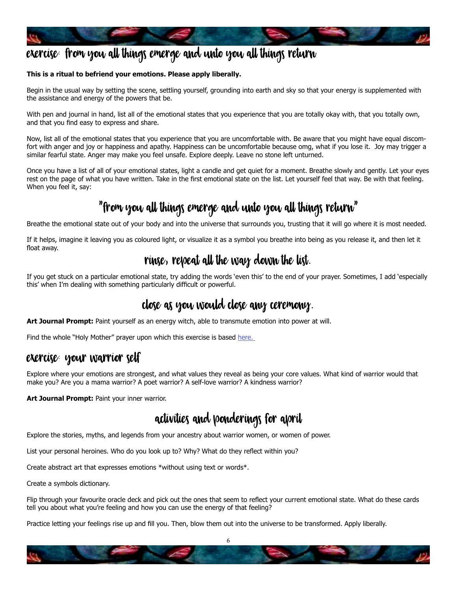

## exercise: From you all things emerge and unto you all things return

#### **This is a ritual to befriend your emotions. Please apply liberally.**

Begin in the usual way by setting the scene, settling yourself, grounding into earth and sky so that your energy is supplemented with the assistance and energy of the powers that be.

With pen and journal in hand, list all of the emotional states that you experience that you are totally okay with, that you totally own, and that you find easy to express and share.

Now, list all of the emotional states that you experience that you are uncomfortable with. Be aware that you might have equal discomfort with anger and joy or happiness and apathy. Happiness can be uncomfortable because omg, what if you lose it. Joy may trigger a similar fearful state. Anger may make you feel unsafe. Explore deeply. Leave no stone left unturned.

Once you have a list of all of your emotional states, light a candle and get quiet for a moment. Breathe slowly and gently. Let your eyes rest on the page of what you have written. Take in the first emotional state on the list. Let yourself feel that way. Be with that feeling. When you feel it, say:

# "From you all things emerge and unto you all things return"

Breathe the emotional state out of your body and into the universe that surrounds you, trusting that it will go where it is most needed.

If it helps, imagine it leaving you as coloured light, or visualize it as a symbol you breathe into being as you release it, and then let it float away.

#### rinse, repeat all the way down the list.

If you get stuck on a particular emotional state, try adding the words 'even this' to the end of your prayer. Sometimes, I add 'especially this' when I'm dealing with something particularly difficult or powerful.

## Close as you would close any ceremony.

**Art Journal Prompt:** Paint yourself as an energy witch, able to transmute emotion into power at will.

Find the whole "Holy Mother" prayer upon which this exercise is based here.

#### Exercise: Your Warrior Self

Explore where your emotions are strongest, and what values they reveal as being your core values. What kind of warrior would that make you? Are you a mama warrior? A poet warrior? A self-love warrior? A kindness warrior?

**Art Journal Prompt:** Paint your inner warrior.

## Activities and ponderings for April

Explore the stories, myths, and legends from your ancestry about warrior women, or women of power.

List your personal heroines. Who do you look up to? Why? What do they reflect within you?

Create abstract art that expresses emotions \*without using text or words\*.

Create a symbols dictionary.

Flip through your favourite oracle deck and pick out the ones that seem to reflect your current emotional state. What do these cards tell you about what you're feeling and how you can use the energy of that feeling?

Practice letting your feelings rise up and fill you. Then, blow them out into the universe to be transformed. Apply liberally.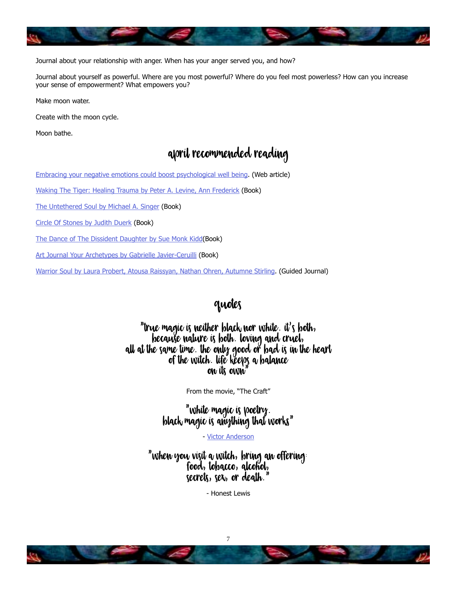

Journal about your relationship with anger. When has your anger served you, and how?

Journal about yourself as powerful. Where are you most powerful? Where do you feel most powerless? How can you increase your sense of empowerment? What empowers you?

Make moon water.

Create with the moon cycle.

Moon bathe.

#### april Recommended Reading

[Embracing your negative emotions could boost psychological well being](https://www.medicalnewstoday.com/articles/318933.php). (Web article)

[Waking The Tiger: Healing Trauma by Peter A. Levine, Ann Frederick](https://www.goodreads.com/book/show/384924.Waking_the_Tiger) (Book)

[The Untethered Soul by Michael A. Singer](https://www.goodreads.com/book/show/1963638.The_Untethered_Soul?ac=1&from_search=true) (Book)

[Circle Of Stones by Judith Duerk](https://www.goodreads.com/book/show/588251.Circle_of_Stones?from_search=true) (Book)

[The Dance of The Dissident Daughte](https://www.goodreads.com/book/show/24711.The_Dance_of_the_Dissident_Daughter?ac=1&from_search=true)r by Sue Monk Kidd(Book)

[Art Journal Your Archetypes by Gabrielle Javier-Ceruilli](https://www.goodreads.com/book/show/28627375-art-journal-your-archetypes?ac=1&from_search=true) (Book)

[Warrior Soul by Laura Probert, Atousa Raissyan, Nathan Ohren, Autumne Stirling](https://www.goodreads.com/book/show/29431140-warrior-soul?from_search=true). (Guided Journal)

#### Quotes

#### "True magic is neither black nor white. It's both, because nature is both. Loving and cruel, all at the same time. the only good or bad is in the heart of the witch. Life keeps a balance on its own"

From the movie, "The Craft"

"white magic is poetry. Black magic is anything that works"

- [Victor Anderson](https://en.wikipedia.org/wiki/Victor_Henry_Anderson)

"When you visit a witch, bring an offering: Food, tobacco, alcohol,  $s$  secrets,  $s$ ex, or death.

- Honest Lewis